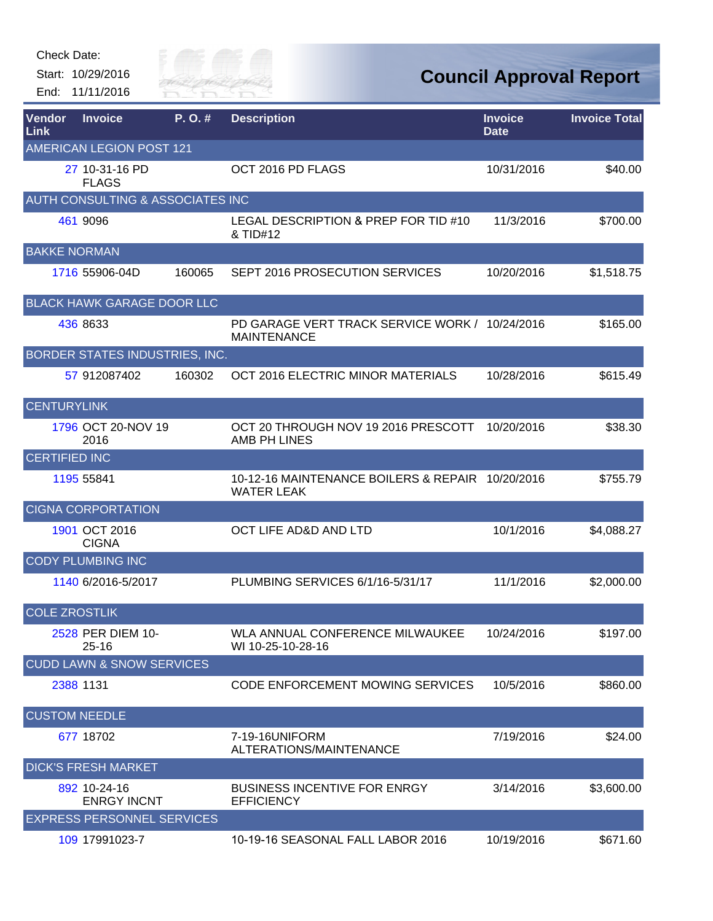Check Date:

Start: 10/29/2016 End: 11/11/2016



| Vendor<br>Link       | <b>Invoice</b>                              | $P. O.$ # | <b>Description</b>                                                    | <b>Invoice</b><br><b>Date</b> | <b>Invoice Total</b> |
|----------------------|---------------------------------------------|-----------|-----------------------------------------------------------------------|-------------------------------|----------------------|
|                      | <b>AMERICAN LEGION POST 121</b>             |           |                                                                       |                               |                      |
|                      | 27 10-31-16 PD<br><b>FLAGS</b>              |           | OCT 2016 PD FLAGS                                                     | 10/31/2016                    | \$40.00              |
|                      | <b>AUTH CONSULTING &amp; ASSOCIATES INC</b> |           |                                                                       |                               |                      |
|                      | 461 9096                                    |           | LEGAL DESCRIPTION & PREP FOR TID #10<br>& TID#12                      | 11/3/2016                     | \$700.00             |
| <b>BAKKE NORMAN</b>  |                                             |           |                                                                       |                               |                      |
|                      | 1716 55906-04D                              | 160065    | SEPT 2016 PROSECUTION SERVICES                                        | 10/20/2016                    | \$1,518.75           |
|                      | <b>BLACK HAWK GARAGE DOOR LLC</b>           |           |                                                                       |                               |                      |
|                      | 436 8633                                    |           | PD GARAGE VERT TRACK SERVICE WORK / 10/24/2016<br><b>MAINTENANCE</b>  |                               | \$165.00             |
|                      | BORDER STATES INDUSTRIES, INC.              |           |                                                                       |                               |                      |
|                      | 57 912087402                                | 160302    | OCT 2016 ELECTRIC MINOR MATERIALS                                     | 10/28/2016                    | \$615.49             |
| <b>CENTURYLINK</b>   |                                             |           |                                                                       |                               |                      |
|                      | 1796 OCT 20-NOV 19<br>2016                  |           | OCT 20 THROUGH NOV 19 2016 PRESCOTT<br>AMB PH LINES                   | 10/20/2016                    | \$38.30              |
| <b>CERTIFIED INC</b> |                                             |           |                                                                       |                               |                      |
|                      | 1195 55841                                  |           | 10-12-16 MAINTENANCE BOILERS & REPAIR 10/20/2016<br><b>WATER LEAK</b> |                               | \$755.79             |
|                      | <b>CIGNA CORPORTATION</b>                   |           |                                                                       |                               |                      |
|                      | 1901 OCT 2016<br><b>CIGNA</b>               |           | OCT LIFE AD&D AND LTD                                                 | 10/1/2016                     | \$4,088.27           |
|                      | <b>CODY PLUMBING INC</b>                    |           |                                                                       |                               |                      |
|                      | 1140 6/2016-5/2017                          |           | PLUMBING SERVICES 6/1/16-5/31/17                                      | 11/1/2016                     | \$2,000.00           |
| <b>COLE ZROSTLIK</b> |                                             |           |                                                                       |                               |                      |
|                      | 2528 PER DIEM 10-<br>$25 - 16$              |           | WLA ANNUAL CONFERENCE MILWAUKEE<br>WI 10-25-10-28-16                  | 10/24/2016                    | \$197.00             |
|                      | <b>CUDD LAWN &amp; SNOW SERVICES</b>        |           |                                                                       |                               |                      |
|                      | 2388 1131                                   |           | CODE ENFORCEMENT MOWING SERVICES                                      | 10/5/2016                     | \$860.00             |
| <b>CUSTOM NEEDLE</b> |                                             |           |                                                                       |                               |                      |
|                      | 677 18702                                   |           | 7-19-16UNIFORM<br>ALTERATIONS/MAINTENANCE                             | 7/19/2016                     | \$24.00              |
|                      | <b>DICK'S FRESH MARKET</b>                  |           |                                                                       |                               |                      |
|                      | 892 10-24-16<br><b>ENRGY INCNT</b>          |           | <b>BUSINESS INCENTIVE FOR ENRGY</b><br><b>EFFICIENCY</b>              | 3/14/2016                     | \$3,600.00           |
|                      | <b>EXPRESS PERSONNEL SERVICES</b>           |           |                                                                       |                               |                      |
|                      | 109 17991023-7                              |           | 10-19-16 SEASONAL FALL LABOR 2016                                     | 10/19/2016                    | \$671.60             |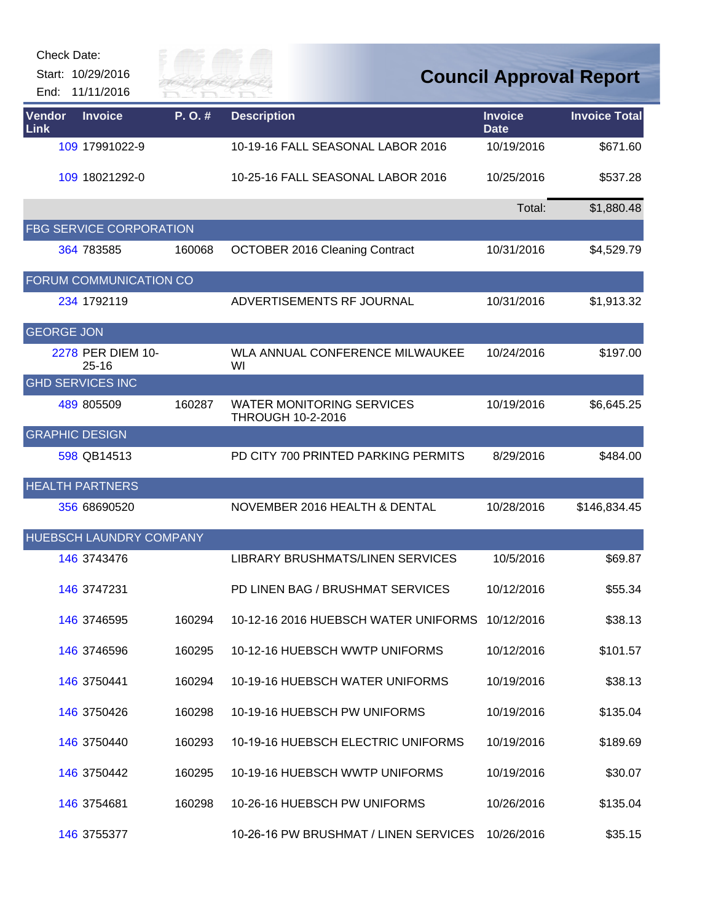| Check Date: |  |
|-------------|--|
|-------------|--|

Start: 10/29/2016 End: 11/11/2016



| <b>Vendor</b><br>Link | <b>Invoice</b>                 | P.O.#  | <b>Description</b>                                           | <b>Invoice</b><br><b>Date</b> | <b>Invoice Total</b> |
|-----------------------|--------------------------------|--------|--------------------------------------------------------------|-------------------------------|----------------------|
|                       | 109 17991022-9                 |        | 10-19-16 FALL SEASONAL LABOR 2016                            | 10/19/2016                    | \$671.60             |
|                       | 109 18021292-0                 |        | 10-25-16 FALL SEASONAL LABOR 2016                            | 10/25/2016                    | \$537.28             |
|                       |                                |        |                                                              | Total:                        | \$1,880.48           |
|                       | <b>FBG SERVICE CORPORATION</b> |        |                                                              |                               |                      |
|                       | 364 783585                     | 160068 | <b>OCTOBER 2016 Cleaning Contract</b>                        | 10/31/2016                    | \$4,529.79           |
|                       | FORUM COMMUNICATION CO         |        |                                                              |                               |                      |
|                       | 234 1792119                    |        | ADVERTISEMENTS RF JOURNAL                                    | 10/31/2016                    | \$1,913.32           |
| <b>GEORGE JON</b>     |                                |        |                                                              |                               |                      |
|                       | 2278 PER DIEM 10-<br>$25 - 16$ |        | WLA ANNUAL CONFERENCE MILWAUKEE<br>WI                        | 10/24/2016                    | \$197.00             |
|                       | <b>GHD SERVICES INC</b>        |        |                                                              |                               |                      |
|                       | 489 805509                     | 160287 | <b>WATER MONITORING SERVICES</b><br><b>THROUGH 10-2-2016</b> | 10/19/2016                    | \$6,645.25           |
|                       | <b>GRAPHIC DESIGN</b>          |        |                                                              |                               |                      |
|                       | 598 QB14513                    |        | PD CITY 700 PRINTED PARKING PERMITS                          | 8/29/2016                     | \$484.00             |
|                       | <b>HEALTH PARTNERS</b>         |        |                                                              |                               |                      |
|                       | 356 68690520                   |        | NOVEMBER 2016 HEALTH & DENTAL                                | 10/28/2016                    | \$146,834.45         |
|                       | HUEBSCH LAUNDRY COMPANY        |        |                                                              |                               |                      |
|                       | 146 3743476                    |        | LIBRARY BRUSHMATS/LINEN SERVICES                             | 10/5/2016                     | \$69.87              |
|                       | 146 3747231                    |        | PD LINEN BAG / BRUSHMAT SERVICES                             | 10/12/2016                    | \$55.34              |
|                       | <b>146 3746595</b>             | 160294 | 10-12-16 2016 HUEBSCH WATER UNIFORMS                         | 10/12/2016                    | \$38.13              |
|                       | 146 374 659 6                  | 160295 | 10-12-16 HUEBSCH WWTP UNIFORMS                               | 10/12/2016                    | \$101.57             |
|                       | 146 3750441                    | 160294 | 10-19-16 HUEBSCH WATER UNIFORMS                              | 10/19/2016                    | \$38.13              |
|                       | 146 3750426                    | 160298 | 10-19-16 HUEBSCH PW UNIFORMS                                 | 10/19/2016                    | \$135.04             |
|                       | 146 3750440                    | 160293 | 10-19-16 HUEBSCH ELECTRIC UNIFORMS                           | 10/19/2016                    | \$189.69             |
|                       | 146 3750442                    | 160295 | 10-19-16 HUEBSCH WWTP UNIFORMS                               | 10/19/2016                    | \$30.07              |
|                       | 146 3754681                    | 160298 | 10-26-16 HUEBSCH PW UNIFORMS                                 | 10/26/2016                    | \$135.04             |
|                       | 146 3755377                    |        | 10-26-16 PW BRUSHMAT / LINEN SERVICES                        | 10/26/2016                    | \$35.15              |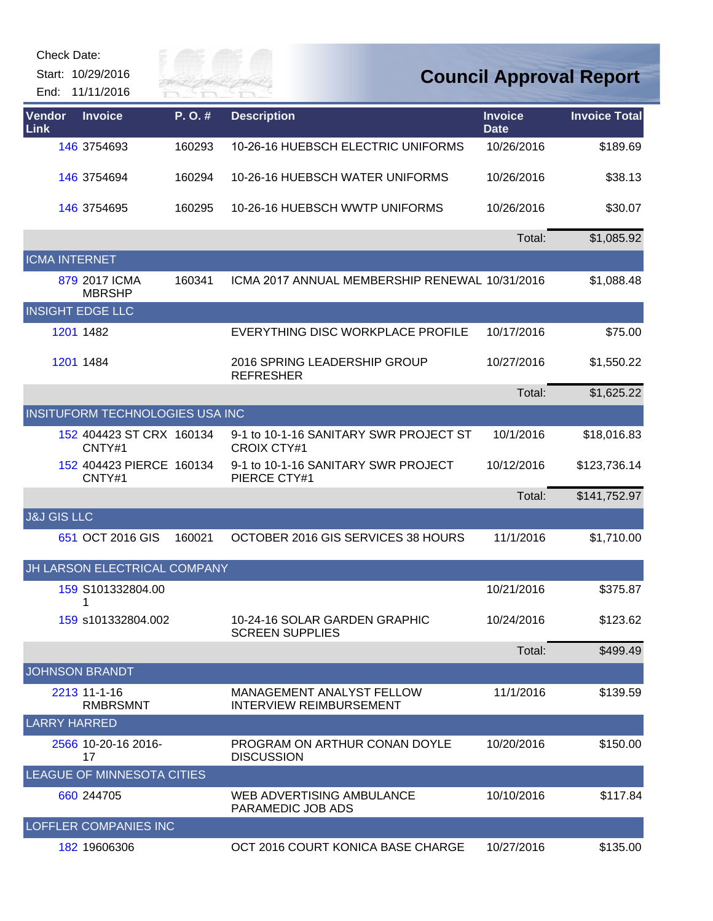| Check Date:            |                                      |                       |                                                                    |                               |                                |
|------------------------|--------------------------------------|-----------------------|--------------------------------------------------------------------|-------------------------------|--------------------------------|
|                        | Start: 10/29/2016<br>End: 11/11/2016 | Silve of<br>River fai |                                                                    |                               | <b>Council Approval Report</b> |
| Vendor<br>Link         | <b>Invoice</b>                       | P.O.#                 | <b>Description</b>                                                 | <b>Invoice</b><br><b>Date</b> | <b>Invoice Total</b>           |
|                        | 146 3754693                          | 160293                | 10-26-16 HUEBSCH ELECTRIC UNIFORMS                                 | 10/26/2016                    | \$189.69                       |
|                        | 146 3754694                          | 160294                | 10-26-16 HUEBSCH WATER UNIFORMS                                    | 10/26/2016                    | \$38.13                        |
|                        | 146 3754695                          | 160295                | 10-26-16 HUEBSCH WWTP UNIFORMS                                     | 10/26/2016                    | \$30.07                        |
|                        |                                      |                       |                                                                    | Total:                        | \$1,085.92                     |
| <b>ICMA INTERNET</b>   |                                      |                       |                                                                    |                               |                                |
|                        | 879 2017 ICMA<br><b>MBRSHP</b>       | 160341                | ICMA 2017 ANNUAL MEMBERSHIP RENEWAL 10/31/2016                     |                               | \$1,088.48                     |
|                        | <b>INSIGHT EDGE LLC</b>              |                       |                                                                    |                               |                                |
|                        | 1201 1482                            |                       | EVERYTHING DISC WORKPLACE PROFILE                                  | 10/17/2016                    | \$75.00                        |
|                        | 1201 1484                            |                       | 2016 SPRING LEADERSHIP GROUP<br><b>REFRESHER</b>                   | 10/27/2016                    | \$1,550.22                     |
|                        |                                      |                       |                                                                    | Total:                        | \$1,625.22                     |
|                        | INSITUFORM TECHNOLOGIES USA INC      |                       |                                                                    |                               |                                |
|                        | 152 404423 ST CRX 160134<br>CNTY#1   |                       | 9-1 to 10-1-16 SANITARY SWR PROJECT ST<br><b>CROIX CTY#1</b>       | 10/1/2016                     | \$18,016.83                    |
|                        | 152 404423 PIERCE 160134<br>CNTY#1   |                       | 9-1 to 10-1-16 SANITARY SWR PROJECT<br>PIERCE CTY#1                | 10/12/2016                    | \$123,736.14                   |
|                        |                                      |                       |                                                                    | Total:                        | \$141,752.97                   |
| <b>J&amp;J GIS LLC</b> |                                      |                       |                                                                    |                               |                                |
|                        | 651 OCT 2016 GIS                     | 160021                | OCTOBER 2016 GIS SERVICES 38 HOURS                                 | 11/1/2016                     | \$1,710.00                     |
|                        | JH LARSON ELECTRICAL COMPANY         |                       |                                                                    |                               |                                |
|                        | 159 S101332804.00<br>1               |                       |                                                                    | 10/21/2016                    | \$375.87                       |
|                        | 159 s101332804.002                   |                       | 10-24-16 SOLAR GARDEN GRAPHIC<br><b>SCREEN SUPPLIES</b>            | 10/24/2016                    | \$123.62                       |
|                        |                                      |                       |                                                                    | Total:                        | \$499.49                       |
|                        | <b>JOHNSON BRANDT</b>                |                       |                                                                    |                               |                                |
|                        | 2213 11-1-16<br><b>RMBRSMNT</b>      |                       | <b>MANAGEMENT ANALYST FELLOW</b><br><b>INTERVIEW REIMBURSEMENT</b> | 11/1/2016                     | \$139.59                       |
| <b>LARRY HARRED</b>    |                                      |                       |                                                                    |                               |                                |
|                        | 2566 10-20-16 2016-<br>17            |                       | PROGRAM ON ARTHUR CONAN DOYLE<br><b>DISCUSSION</b>                 | 10/20/2016                    | \$150.00                       |
|                        | LEAGUE OF MINNESOTA CITIES           |                       |                                                                    |                               |                                |
|                        | 660 244705                           |                       | WEB ADVERTISING AMBULANCE<br>PARAMEDIC JOB ADS                     | 10/10/2016                    | \$117.84                       |
|                        | <b>LOFFLER COMPANIES INC</b>         |                       |                                                                    |                               |                                |
|                        | 182 19606306                         |                       | OCT 2016 COURT KONICA BASE CHARGE                                  | 10/27/2016                    | \$135.00                       |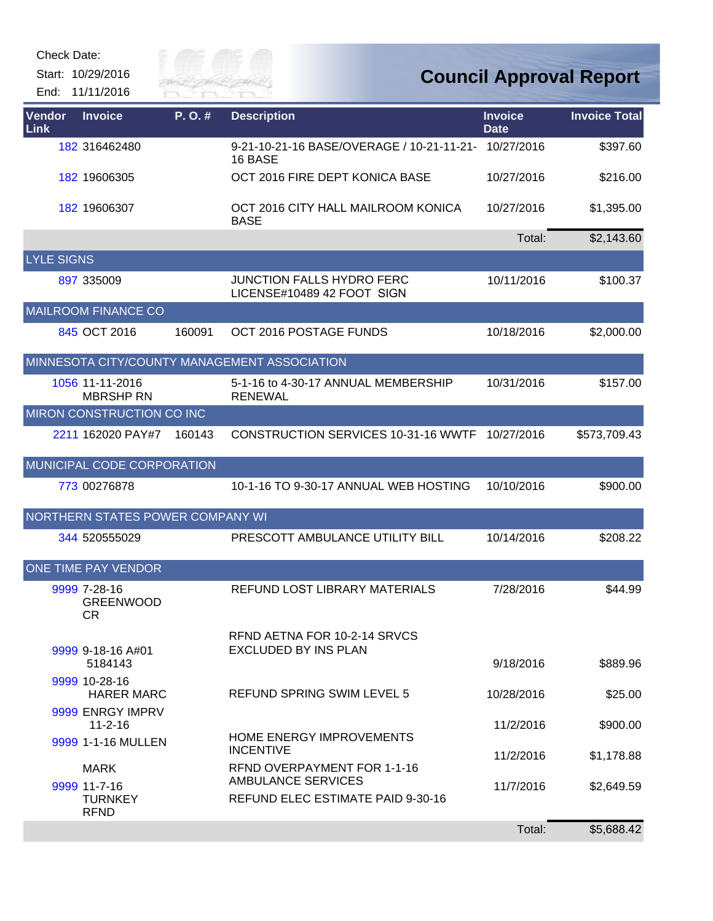Check Date:

Start: 10/29/2016 End: 11/11/2016



| Vendor<br>Link    | <b>Invoice</b>                                | P.O.#  | <b>Description</b>                                              | <b>Invoice</b><br><b>Date</b> | <b>Invoice Total</b> |
|-------------------|-----------------------------------------------|--------|-----------------------------------------------------------------|-------------------------------|----------------------|
|                   | 182 316462480                                 |        | 9-21-10-21-16 BASE/OVERAGE / 10-21-11-21- 10/27/2016<br>16 BASE |                               | \$397.60             |
|                   | 182 19606305                                  |        | OCT 2016 FIRE DEPT KONICA BASE                                  | 10/27/2016                    | \$216.00             |
|                   | 182 19606307                                  |        | OCT 2016 CITY HALL MAILROOM KONICA<br><b>BASE</b>               | 10/27/2016                    | \$1,395.00           |
|                   |                                               |        |                                                                 | Total:                        | \$2,143.60           |
| <b>LYLE SIGNS</b> |                                               |        |                                                                 |                               |                      |
|                   | 897 335009                                    |        | <b>JUNCTION FALLS HYDRO FERC</b><br>LICENSE#10489 42 FOOT SIGN  | 10/11/2016                    | \$100.37             |
|                   | <b>MAILROOM FINANCE CO</b>                    |        |                                                                 |                               |                      |
|                   | 845 OCT 2016                                  | 160091 | OCT 2016 POSTAGE FUNDS                                          | 10/18/2016                    | \$2,000.00           |
|                   |                                               |        | MINNESOTA CITY/COUNTY MANAGEMENT ASSOCIATION                    |                               |                      |
|                   | 1056 11-11-2016<br><b>MBRSHP RN</b>           |        | 5-1-16 to 4-30-17 ANNUAL MEMBERSHIP<br><b>RENEWAL</b>           | 10/31/2016                    | \$157.00             |
|                   | MIRON CONSTRUCTION CO INC                     |        |                                                                 |                               |                      |
|                   | 2211 162020 PAY#7                             | 160143 | <b>CONSTRUCTION SERVICES 10-31-16 WWTF</b>                      | 10/27/2016                    | \$573,709.43         |
|                   | MUNICIPAL CODE CORPORATION                    |        |                                                                 |                               |                      |
|                   | 773 00276878                                  |        | 10-1-16 TO 9-30-17 ANNUAL WEB HOSTING                           | 10/10/2016                    | \$900.00             |
|                   | NORTHERN STATES POWER COMPANY WI              |        |                                                                 |                               |                      |
|                   | 344 520555029                                 |        | PRESCOTT AMBULANCE UTILITY BILL                                 | 10/14/2016                    | \$208.22             |
|                   | <b>ONE TIME PAY VENDOR</b>                    |        |                                                                 |                               |                      |
|                   | 9999 7-28-16<br><b>GREENWOOD</b><br>CR        |        | REFUND LOST LIBRARY MATERIALS                                   | 7/28/2016                     | \$44.99              |
|                   | 9999 9-18-16 A#01                             |        | RFND AETNA FOR 10-2-14 SRVCS<br><b>EXCLUDED BY INS PLAN</b>     |                               |                      |
|                   | 5184143                                       |        |                                                                 | 9/18/2016                     | \$889.96             |
|                   | 9999 10-28-16<br><b>HARER MARC</b>            |        | <b>REFUND SPRING SWIM LEVEL 5</b>                               | 10/28/2016                    | \$25.00              |
|                   | 9999 ENRGY IMPRV<br>$11 - 2 - 16$             |        |                                                                 | 11/2/2016                     | \$900.00             |
|                   | 9999 1-1-16 MULLEN                            |        | HOME ENERGY IMPROVEMENTS<br><b>INCENTIVE</b>                    | 11/2/2016                     | \$1,178.88           |
|                   | <b>MARK</b>                                   |        | RFND OVERPAYMENT FOR 1-1-16                                     |                               |                      |
|                   | 9999 11-7-16<br><b>TURNKEY</b><br><b>RFND</b> |        | <b>AMBULANCE SERVICES</b><br>REFUND ELEC ESTIMATE PAID 9-30-16  | 11/7/2016                     | \$2,649.59           |
|                   |                                               |        |                                                                 | Total:                        | \$5,688.42           |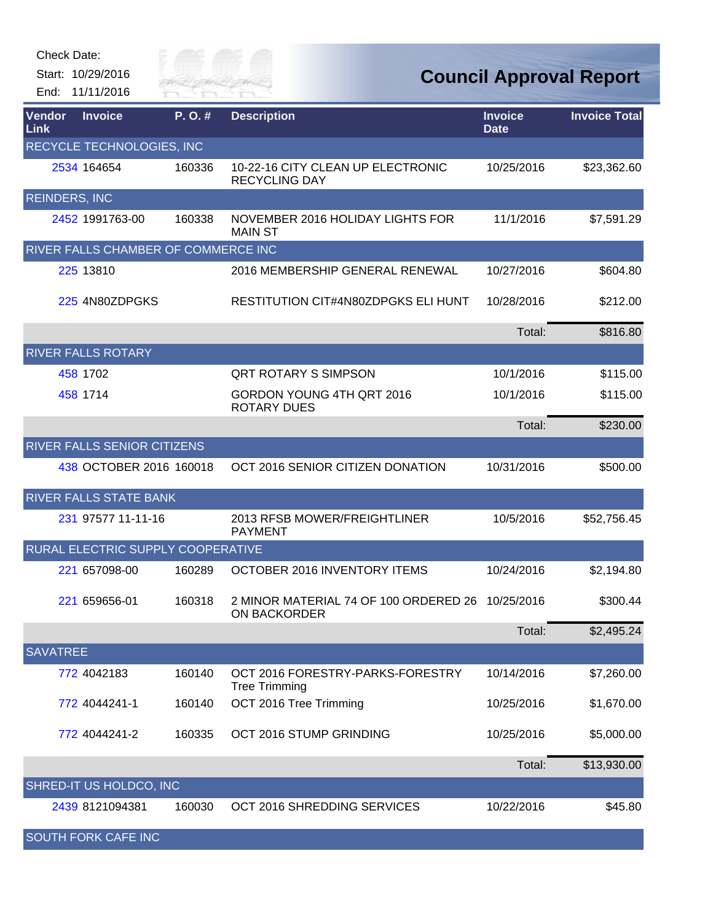| Check Date: |  |
|-------------|--|
|-------------|--|

Start: 10/29/2016 End: 11/11/2016



| Vendor<br>Link       | <b>Invoice</b>                      | P. O. # | <b>Description</b>                                           | <b>Invoice</b><br><b>Date</b> | <b>Invoice Total</b> |
|----------------------|-------------------------------------|---------|--------------------------------------------------------------|-------------------------------|----------------------|
|                      | RECYCLE TECHNOLOGIES, INC           |         |                                                              |                               |                      |
|                      | 2534 164654                         | 160336  | 10-22-16 CITY CLEAN UP ELECTRONIC<br><b>RECYCLING DAY</b>    | 10/25/2016                    | \$23,362.60          |
| <b>REINDERS, INC</b> |                                     |         |                                                              |                               |                      |
|                      | 2452 1991763-00                     | 160338  | NOVEMBER 2016 HOLIDAY LIGHTS FOR<br><b>MAIN ST</b>           | 11/1/2016                     | \$7,591.29           |
|                      | RIVER FALLS CHAMBER OF COMMERCE INC |         |                                                              |                               |                      |
|                      | 225 13810                           |         | 2016 MEMBERSHIP GENERAL RENEWAL                              | 10/27/2016                    | \$604.80             |
|                      | 225 4N80ZDPGKS                      |         | RESTITUTION CIT#4N80ZDPGKS ELI HUNT                          | 10/28/2016                    | \$212.00             |
|                      |                                     |         |                                                              | Total:                        | \$816.80             |
|                      | <b>RIVER FALLS ROTARY</b>           |         |                                                              |                               |                      |
|                      | 458 1702                            |         | <b>QRT ROTARY S SIMPSON</b>                                  | 10/1/2016                     | \$115.00             |
|                      | 458 1714                            |         | GORDON YOUNG 4TH QRT 2016<br><b>ROTARY DUES</b>              | 10/1/2016                     | \$115.00             |
|                      |                                     |         |                                                              | Total:                        | \$230.00             |
|                      | RIVER FALLS SENIOR CITIZENS         |         |                                                              |                               |                      |
|                      | 438 OCTOBER 2016 160018             |         | OCT 2016 SENIOR CITIZEN DONATION                             | 10/31/2016                    | \$500.00             |
|                      | <b>RIVER FALLS STATE BANK</b>       |         |                                                              |                               |                      |
|                      | 231 97577 11-11-16                  |         | 2013 RFSB MOWER/FREIGHTLINER<br><b>PAYMENT</b>               | 10/5/2016                     | \$52,756.45          |
|                      | RURAL ELECTRIC SUPPLY COOPERATIVE   |         |                                                              |                               |                      |
|                      | 221 657098-00                       | 160289  | OCTOBER 2016 INVENTORY ITEMS                                 | 10/24/2016                    | \$2,194.80           |
|                      | 221 659656-01                       | 160318  | 2 MINOR MATERIAL 74 OF 100 ORDERED 26<br><b>ON BACKORDER</b> | 10/25/2016                    | \$300.44             |
|                      |                                     |         |                                                              | Total:                        | \$2,495.24           |
| <b>SAVATREE</b>      |                                     |         |                                                              |                               |                      |
|                      | 772 4042183                         | 160140  | OCT 2016 FORESTRY-PARKS-FORESTRY<br><b>Tree Trimming</b>     | 10/14/2016                    | \$7,260.00           |
|                      | 772 4044241-1                       | 160140  | OCT 2016 Tree Trimming                                       | 10/25/2016                    | \$1,670.00           |
|                      | 772 4044241-2                       | 160335  | OCT 2016 STUMP GRINDING                                      | 10/25/2016                    | \$5,000.00           |
|                      |                                     |         |                                                              | Total:                        | \$13,930.00          |
|                      | SHRED-IT US HOLDCO, INC             |         |                                                              |                               |                      |
|                      | 2439 8121094381                     | 160030  | OCT 2016 SHREDDING SERVICES                                  | 10/22/2016                    | \$45.80              |
|                      | <b>SOUTH FORK CAFE INC</b>          |         |                                                              |                               |                      |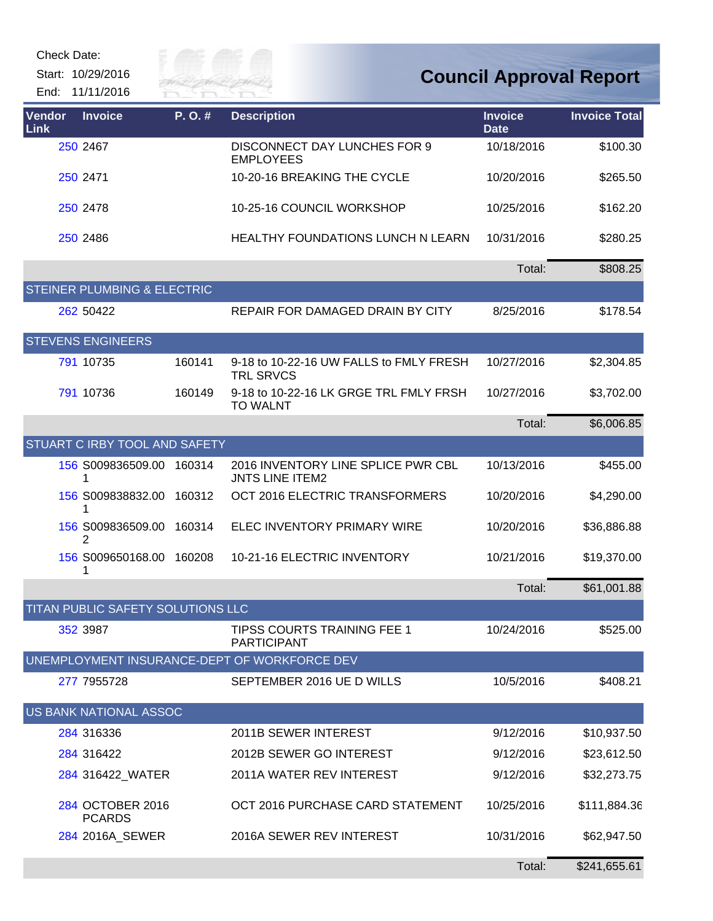Check Date:

Start: 10/29/2016 End: 11/11/2016



| Vendor<br>Link | <b>Invoice</b>                         | P. O. # | <b>Description</b>                                           | <b>Invoice</b><br><b>Date</b> | <b>Invoice Total</b> |
|----------------|----------------------------------------|---------|--------------------------------------------------------------|-------------------------------|----------------------|
|                | 250 2467                               |         | <b>DISCONNECT DAY LUNCHES FOR 9</b><br><b>EMPLOYEES</b>      | 10/18/2016                    | \$100.30             |
|                | 250 2471                               |         | 10-20-16 BREAKING THE CYCLE                                  | 10/20/2016                    | \$265.50             |
|                | 250 2478                               |         | 10-25-16 COUNCIL WORKSHOP                                    | 10/25/2016                    | \$162.20             |
|                | 250 2486                               |         | <b>HEALTHY FOUNDATIONS LUNCH N LEARN</b>                     | 10/31/2016                    | \$280.25             |
|                |                                        |         |                                                              | Total:                        | \$808.25             |
|                | <b>STEINER PLUMBING &amp; ELECTRIC</b> |         |                                                              |                               |                      |
|                | 262 50422                              |         | REPAIR FOR DAMAGED DRAIN BY CITY                             | 8/25/2016                     | \$178.54             |
|                | <b>STEVENS ENGINEERS</b>               |         |                                                              |                               |                      |
|                | 791 10735                              | 160141  | 9-18 to 10-22-16 UW FALLS to FMLY FRESH<br><b>TRL SRVCS</b>  | 10/27/2016                    | \$2,304.85           |
|                | 791 10736                              | 160149  | 9-18 to 10-22-16 LK GRGE TRL FMLY FRSH<br><b>TO WALNT</b>    | 10/27/2016                    | \$3,702.00           |
|                |                                        |         |                                                              | Total:                        | \$6,006.85           |
|                | STUART C IRBY TOOL AND SAFETY          |         |                                                              |                               |                      |
|                | 156 S009836509.00<br>1                 | 160314  | 2016 INVENTORY LINE SPLICE PWR CBL<br><b>JNTS LINE ITEM2</b> | 10/13/2016                    | \$455.00             |
|                | 156 S009838832.00<br>1                 | 160312  | OCT 2016 ELECTRIC TRANSFORMERS                               | 10/20/2016                    | \$4,290.00           |
|                | 156 S009836509.00<br>2                 | 160314  | ELEC INVENTORY PRIMARY WIRE                                  | 10/20/2016                    | \$36,886.88          |
|                | 156 S009650168.00<br>1                 | 160208  | 10-21-16 ELECTRIC INVENTORY                                  | 10/21/2016                    | \$19,370.00          |
|                |                                        |         |                                                              | Total:                        | \$61,001.88          |
|                | TITAN PUBLIC SAFETY SOLUTIONS LLC      |         |                                                              |                               |                      |
|                | 352 3987                               |         | TIPSS COURTS TRAINING FEE 1<br><b>PARTICIPANT</b>            | 10/24/2016                    | \$525.00             |
|                |                                        |         | UNEMPLOYMENT INSURANCE-DEPT OF WORKFORCE DEV                 |                               |                      |
|                | 277 7955728                            |         | SEPTEMBER 2016 UE D WILLS                                    | 10/5/2016                     | \$408.21             |
|                | US BANK NATIONAL ASSOC                 |         |                                                              |                               |                      |
|                | 284 316336                             |         | 2011B SEWER INTEREST                                         | 9/12/2016                     | \$10,937.50          |
|                | 284 316422                             |         | 2012B SEWER GO INTEREST                                      | 9/12/2016                     | \$23,612.50          |
|                | 284 316422 WATER                       |         | 2011A WATER REV INTEREST                                     | 9/12/2016                     | \$32,273.75          |
|                | 284 OCTOBER 2016<br><b>PCARDS</b>      |         | OCT 2016 PURCHASE CARD STATEMENT                             | 10/25/2016                    | \$111,884.36         |
|                | 284 2016A_SEWER                        |         | 2016A SEWER REV INTEREST                                     | 10/31/2016                    | \$62,947.50          |
|                |                                        |         |                                                              | Total:                        | \$241,655.61         |